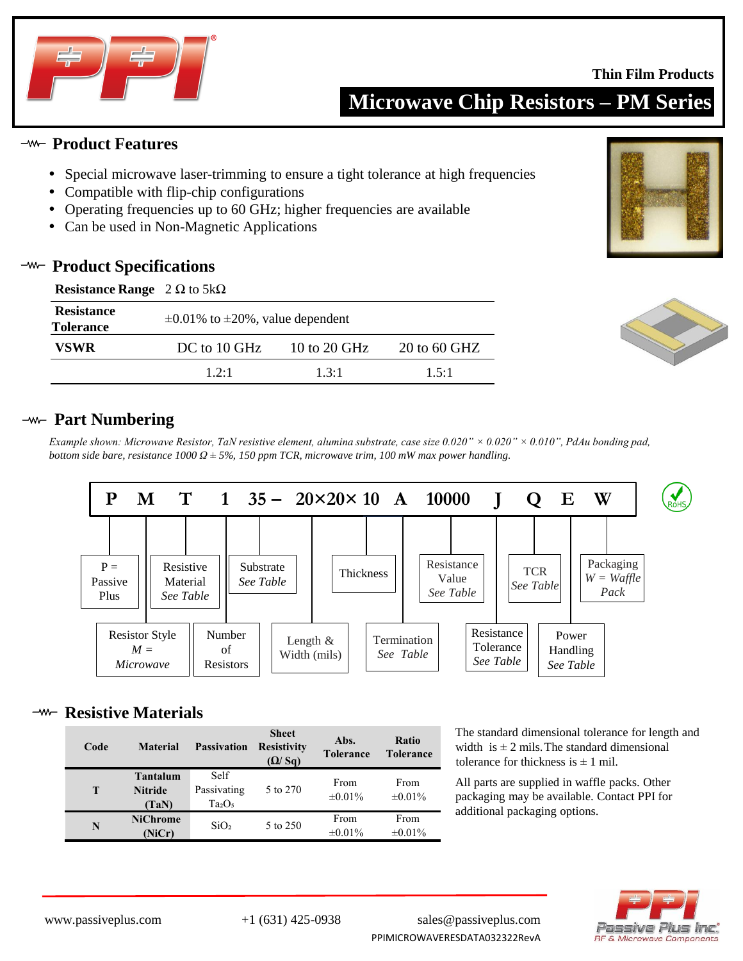

**Thin Film Products**

**Microwave Chip Resistors – PM Series**

### **Product Features**

- Special microwave laser-trimming to ensure a tight tolerance at high frequencies
- Compatible with flip-chip configurations
- Operating frequencies up to 60 GHz; higher frequencies are available
- Can be used in Non-Magnetic Applications

## **Product Specifications**

| <b>Resistance Range</b> $2 \Omega$ to $5k\Omega$ |                                              |              |                |  |  |  |  |
|--------------------------------------------------|----------------------------------------------|--------------|----------------|--|--|--|--|
| <b>Resistance</b><br><b>Tolerance</b>            | $\pm 0.01\%$ to $\pm 20\%$ , value dependent |              |                |  |  |  |  |
| <b>VSWR</b>                                      | DC to 10 GHz                                 | 10 to 20 GHz | $20$ to 60 GHZ |  |  |  |  |
|                                                  | 12.1                                         | 13.1         | 1.5:1          |  |  |  |  |



*Example shown: Microwave Resistor, TaN resistive element, alumina substrate, case size 0.020" × 0.020" × 0.010", PdAu bonding pad, bottom side bare, resistance 1000 Ω ± 5%, 150 ppm TCR, microwave trim, 100 mW max power handling.* 



## **<sup>-w-</sup>** Resistive Materials

| Code | <b>Material</b>                            | <b>Passivation</b>                                    | <b>Sheet</b><br><b>Resistivity</b><br>$(\Omega/\mathrm{Sq})$ | Abs.<br><b>Tolerance</b> | <b>Ratio</b><br><b>Tolerance</b> |
|------|--------------------------------------------|-------------------------------------------------------|--------------------------------------------------------------|--------------------------|----------------------------------|
| T    | <b>Tantalum</b><br><b>Nitride</b><br>(TaN) | Self<br>Passivating<br>Ta <sub>2</sub> O <sub>5</sub> | 5 to 270                                                     | From<br>$\pm 0.01\%$     | From<br>$\pm 0.01\%$             |
| N    | <b>NiChrome</b><br>(NiCr)                  | SiO <sub>2</sub>                                      | 5 to 250                                                     | From<br>$\pm 0.01\%$     | From<br>$\pm 0.01\%$             |

The standard dimensional tolerance for length and width is  $\pm 2$  mils. The standard dimensional tolerance for thickness is  $\pm$  1 mil.

All parts are supplied in waffle packs. Other packaging may be available. Contact PPI for additional packaging options.







www.passiveplus.com +1 (631) 425-0938 sales@passiveplus.com PPIMICROWAVERESDATA032322RevA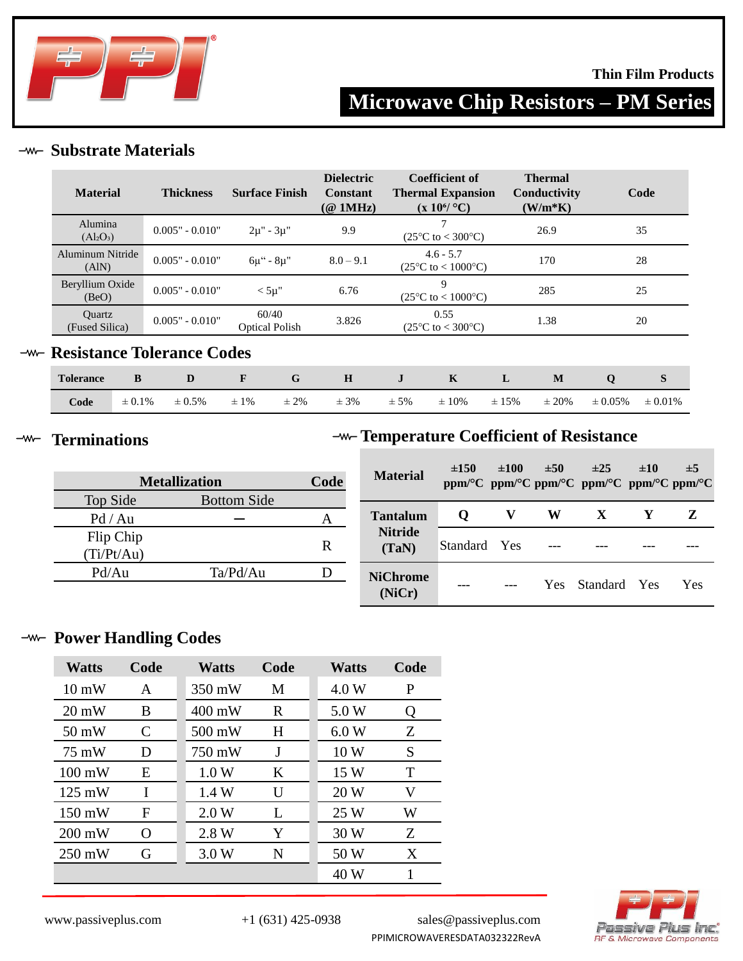

### **Thin Film Products**

# **Microwave Chip Resistors – PM Series**

## **-w- Substrate Materials**

| <b>Material</b>                   | <b>Thickness</b>  | <b>Surface Finish</b>          | <b>Dielectric</b><br><b>Constant</b><br>$(\textcircled{a}$ 1MHz) | Coefficient of<br><b>Thermal Expansion</b><br>$(x 10^6$ °C) | <b>Thermal</b><br>Conductivity<br>$(W/m*K)$ | Code |
|-----------------------------------|-------------------|--------------------------------|------------------------------------------------------------------|-------------------------------------------------------------|---------------------------------------------|------|
| Alumina<br>$(Al_2O_3)$            | $0.005" - 0.010"$ | $2\mu$ " - $3\mu$ "            | 9.9                                                              | $(25^{\circ}C \text{ to } < 300^{\circ}C)$                  | 26.9                                        | 35   |
| Aluminum Nitride<br>(AIN)         | $0.005" - 0.010"$ | $6\mu$ " - $8\mu$ "            | $8.0 - 9.1$                                                      | $4.6 - 5.7$<br>$(25^{\circ}C \text{ to } < 1000^{\circ}C)$  | 170                                         | 28   |
| Beryllium Oxide<br>(BeO)          | $0.005" - 0.010"$ | $<$ 5µ"                        | 6.76                                                             | 9<br>$(25^{\circ}C \text{ to } < 1000^{\circ}C)$            | 285                                         | 25   |
| <b>Ouartz</b><br>(Fused Silica)   | $0.005" - 0.010"$ | 60/40<br><b>Optical Polish</b> | 3.826                                                            | 0.55<br>$(25^{\circ}C \text{ to } < 300^{\circ}C)$          | 1.38                                        | 20   |
| <b>Resistance Tolerance Codes</b> |                   |                                |                                                                  |                                                             |                                             |      |

| <b>Tolerance</b> |             |             | $\mathbf{F}$ |           | $\mathbf{H}$ $\mathbf{J}$ |          | $\mathbf{K}$ |           | M          | $\mathbf{O}$ |              |
|------------------|-------------|-------------|--------------|-----------|---------------------------|----------|--------------|-----------|------------|--------------|--------------|
| Code             | $\pm 0.1\%$ | $\pm 0.5\%$ | $\pm 1\%$    | $\pm 2\%$ | $\pm$ 3%                  | $\pm$ 5% | $\pm 10\%$   | $\pm$ 15% | $\pm 20\%$ | $\pm 0.05\%$ | $\pm 0.01\%$ |

#### **Terminations**  $-\!\!$

 $-w$ 

## **Temperature Coefficient of Resistance**

| <b>Metallization</b> | Code               | <b>Material</b> | ±150            | $\pm 100$ | ±50 | $\pm 25$<br>ppm/°C ppm/°C ppm/°C ppm/°C ppm/°C ppm/°C | ±10             | $\pm$ 5 |     |
|----------------------|--------------------|-----------------|-----------------|-----------|-----|-------------------------------------------------------|-----------------|---------|-----|
| Top Side             | <b>Bottom Side</b> |                 |                 |           |     |                                                       |                 |         |     |
| Pd / Au              |                    |                 | <b>Tantalum</b> | $\bf o$   |     | W                                                     | X               |         | Z   |
| Flip Chip            |                    | R               | <b>Nitride</b>  | Standard  | Yes |                                                       |                 |         |     |
| (Ti/Pt/Au)           |                    |                 | (TaN)           |           |     |                                                       |                 |         |     |
| Pd/Au                | Ta/Pd/Au           | D               | <b>NiChrome</b> |           |     |                                                       |                 |         |     |
|                      |                    |                 | (NiCr)          | ---       |     | Yes                                                   | <b>Standard</b> | Yes     | Yes |

## **-w- Power Handling Codes**

| <b>Watts</b>     | Code     | <b>Watts</b>     | Code | <b>Watts</b> | Code |
|------------------|----------|------------------|------|--------------|------|
| $10 \text{ mW}$  | A        | 350 mW           | M    | 4.0 W        | P    |
| $20 \text{ mW}$  | B        | $400 \text{ mW}$ | R    | 5.0 W        | Q    |
| 50 mW            | C        | 500 mW           | H    | 6.0W         | Z    |
| 75 mW            | D        | 750 mW           | J    | 10W          | S    |
| $100 \text{ mW}$ | Е        | 1.0 W            | K    | 15 W         | T    |
| $125 \text{ mW}$ | I        | 1.4W             | U    | 20 W         | V    |
| $150 \text{ mW}$ | F        | 2.0 W            | L    | 25 W         | W    |
| $200 \text{ mW}$ | $\Omega$ | 2.8 W            | Y    | 30 W         | Z    |
| $250 \text{ mW}$ | G        | 3.0 W            | N    | 50 W         | X    |
|                  |          |                  |      | 40 W         |      |



www.passiveplus.com +1 (631) 425-0938 sales@passiveplus.com PPIMICROWAVERESDATA032322RevA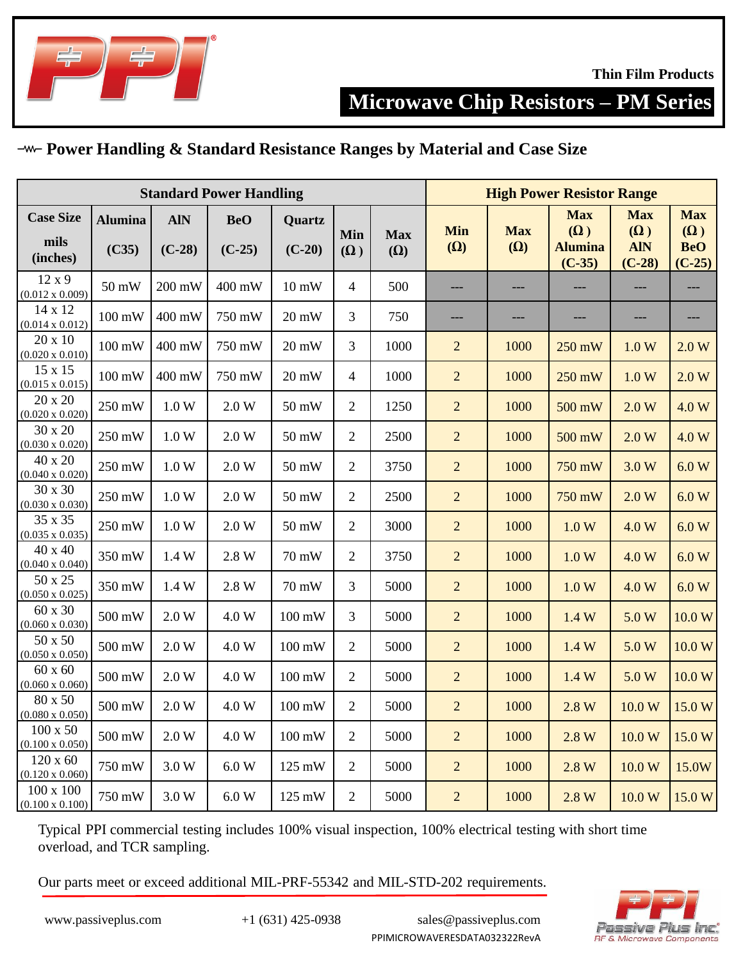

**Microwave Chip Resistors – PM Series**

## **Power Handling & Standard Resistance Ranges by Material and Case Size**

| <b>Standard Power Handling</b>            |                         |                        |                        |                         |                   |                          |                   | <b>High Power Resistor Range</b> |                                                        |                                                    |                                                    |  |
|-------------------------------------------|-------------------------|------------------------|------------------------|-------------------------|-------------------|--------------------------|-------------------|----------------------------------|--------------------------------------------------------|----------------------------------------------------|----------------------------------------------------|--|
| <b>Case Size</b><br>mils<br>(inches)      | <b>Alumina</b><br>(C35) | <b>AIN</b><br>$(C-28)$ | <b>BeO</b><br>$(C-25)$ | Quartz<br>$(C-20)$      | Min<br>$(\Omega)$ | <b>Max</b><br>$(\Omega)$ | Min<br>$(\Omega)$ | <b>Max</b><br>$(\Omega)$         | <b>Max</b><br>$(\Omega)$<br><b>Alumina</b><br>$(C-35)$ | <b>Max</b><br>$(\Omega)$<br><b>AIN</b><br>$(C-28)$ | <b>Max</b><br>$(\Omega)$<br><b>BeO</b><br>$(C-25)$ |  |
| 12x9<br>$(0.012 \times 0.009)$            | 50 mW                   | 200 mW                 | 400 mW                 | $10\text{ }\mathrm{mW}$ | $\overline{4}$    | 500                      | ---               | ---                              |                                                        | ---                                                | ---                                                |  |
| 14 x 12<br>$(0.014 \times 0.012)$         | $100 \text{ mW}$        | 400 mW                 | 750 mW                 | 20 mW                   | 3                 | 750                      | ---               | ---                              | $---$                                                  | $---$                                              | $---$                                              |  |
| 20 x 10<br>$(0.020 \times 0.010)$         | $100 \text{ mW}$        | 400 mW                 | 750 mW                 | 20 mW                   | 3                 | 1000                     | $\overline{c}$    | 1000                             | 250 mW                                                 | 1.0 W                                              | 2.0 W                                              |  |
| 15 x 15<br>$(0.015 \times 0.015)$         | $100 \text{ mW}$        | 400 mW                 | 750 mW                 | 20 mW                   | $\overline{4}$    | 1000                     | $\overline{2}$    | 1000                             | 250 mW                                                 | 1.0 W                                              | 2.0 W                                              |  |
| 20 x 20<br>$(0.020 \times 0.020)$         | 250 mW                  | 1.0 W                  | 2.0 W                  | 50 mW                   | $\overline{2}$    | 1250                     | $\overline{2}$    | 1000                             | 500 mW                                                 | 2.0 W                                              | 4.0 W                                              |  |
| 30 x 20<br>$(0.030 \times 0.020)$         | 250 mW                  | 1.0 W                  | 2.0 W                  | 50 mW                   | $\overline{2}$    | 2500                     | $\overline{2}$    | 1000                             | 500 mW                                                 | 2.0 W                                              | 4.0 W                                              |  |
| 40 x 20<br>$(0.040 \times 0.020)$         | 250 mW                  | 1.0 W                  | 2.0 W                  | 50 mW                   | $\overline{2}$    | 3750                     | $\overline{c}$    | 1000                             | 750 mW                                                 | 3.0 W                                              | 6.0 W                                              |  |
| 30 x 30<br>$(0.030 \times 0.030)$         | 250 mW                  | 1.0 W                  | 2.0 W                  | 50 mW                   | $\overline{2}$    | 2500                     | $\overline{2}$    | 1000                             | 750 mW                                                 | 2.0 W                                              | 6.0 W                                              |  |
| 35 x 35<br>$(0.035 \times 0.035)$         | 250 mW                  | 1.0 W                  | $2.0 W$                | 50 mW                   | $\overline{2}$    | 3000                     | $\overline{2}$    | 1000                             | 1.0 W                                                  | 4.0 W                                              | 6.0 W                                              |  |
| 40 x 40<br>$(0.040 \times 0.040)$         | 350 mW                  | 1.4 W                  | 2.8 W                  | 70 mW                   | $\overline{2}$    | 3750                     | $\overline{2}$    | 1000                             | 1.0 W                                                  | 4.0 W                                              | 6.0 W                                              |  |
| 50 x 25<br>$(0.050 \times 0.025)$         | 350 mW                  | 1.4 W                  | 2.8 W                  | 70 mW                   | 3                 | 5000                     | $\overline{2}$    | 1000                             | 1.0 W                                                  | 4.0 W                                              | 6.0 W                                              |  |
| 60 x 30<br>$(0.060 \times 0.030)$         | 500 mW                  | 2.0 W                  | 4.0 W                  | $100 \text{ mW}$        | 3                 | 5000                     | $\overline{2}$    | 1000                             | 1.4W                                                   | 5.0 W                                              | 10.0 W                                             |  |
| 50 x 50<br>$(0.050 \times 0.050)$         | 500 mW                  | 2.0 W                  | 4.0 W                  | 100 mW                  | $\overline{2}$    | 5000                     | $\overline{2}$    | 1000                             | 1.4W                                                   | 5.0 W                                              | 10.0 W                                             |  |
| $60 \times 60$<br>$(0.060 \times 0.060)$  | 500 mW                  | 2.0 W                  | 4.0 W                  | $100 \text{ mW}$        | $\overline{2}$    | 5000                     | $\overline{2}$    | 1000                             | 1.4W                                                   | 5.0 W                                              | 10.0 W                                             |  |
| 80 x 50<br>$(0.080 \times 0.050)$         | 500 mW                  | 2.0 W                  | 4.0 W                  | $100 \text{ mW}$        | $\overline{2}$    | 5000                     | $\overline{2}$    | 1000                             | 2.8 W                                                  | 10.0 W                                             | 15.0W                                              |  |
| $100 \times 50$<br>$(0.100 \times 0.050)$ | 500 mW                  | 2.0 W                  | 4.0 W                  | $100 \text{ mW}$        | $\overline{2}$    | 5000                     | $\overline{2}$    | 1000                             | 2.8 W                                                  | 10.0 W                                             | 15.0W                                              |  |
| $120 \times 60$<br>$(0.120 \times 0.060)$ | 750 mW                  | 3.0 W                  | 6.0 W                  | 125 mW                  | $\overline{2}$    | 5000                     | $\overline{2}$    | 1000                             | 2.8 W                                                  | 10.0 W                                             | 15.0W                                              |  |
| 100 x 100<br>$(0.100 \times 0.100)$       | 750 mW                  | 3.0 W                  | $6.0~\mathrm{W}$       | 125 mW                  | $\overline{2}$    | 5000                     | $\overline{c}$    | 1000                             | 2.8 W                                                  | 10.0 W                                             | 15.0 W                                             |  |

Typical PPI commercial testing includes 100% visual inspection, 100% electrical testing with short time overload, and TCR sampling.

Our parts meet or exceed additional MIL-PRF-55342 and MIL-STD-202 requirements.